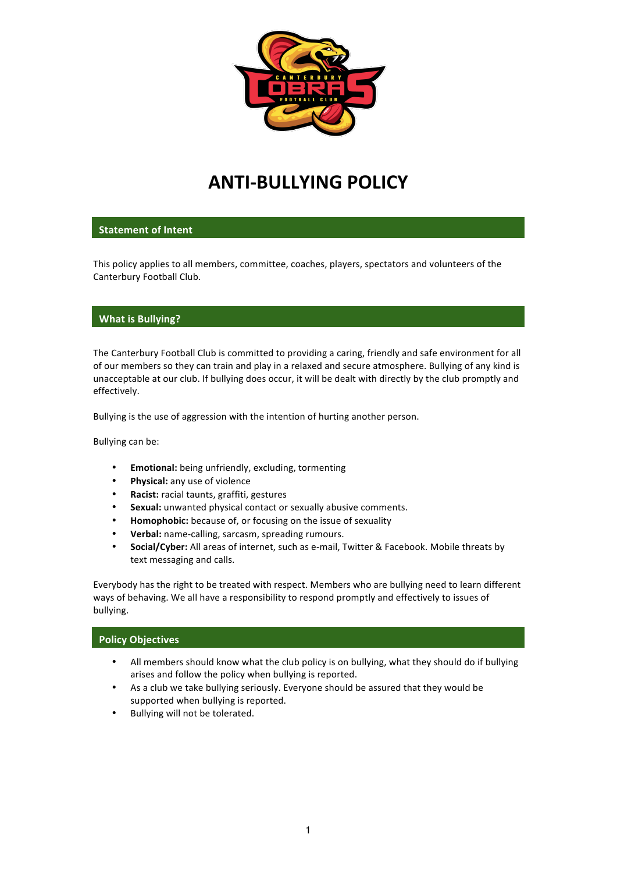

# **ANTI-BULLYING POLICY**

# **Statement of Intent**

This policy applies to all members, committee, coaches, players, spectators and volunteers of the Canterbury Football Club.

## **What is Bullying?**

The Canterbury Football Club is committed to providing a caring, friendly and safe environment for all of our members so they can train and play in a relaxed and secure atmosphere. Bullying of any kind is unacceptable at our club. If bullying does occur, it will be dealt with directly by the club promptly and effectively. 

Bullying is the use of aggression with the intention of hurting another person.

Bullying can be:

- **Emotional:** being unfriendly, excluding, tormenting
- Physical: any use of violence
- **Racist:** racial taunts, graffiti, gestures
- **Sexual:** unwanted physical contact or sexually abusive comments.
- **Homophobic:** because of, or focusing on the issue of sexuality
- Verbal: name-calling, sarcasm, spreading rumours.
- Social/Cyber: All areas of internet, such as e-mail, Twitter & Facebook. Mobile threats by text messaging and calls.

Everybody has the right to be treated with respect. Members who are bullying need to learn different ways of behaving. We all have a responsibility to respond promptly and effectively to issues of bullying.

#### **Policy Objectives**

- All members should know what the club policy is on bullying, what they should do if bullying arises and follow the policy when bullying is reported.
- As a club we take bullying seriously. Everyone should be assured that they would be supported when bullying is reported.
- Bullying will not be tolerated.